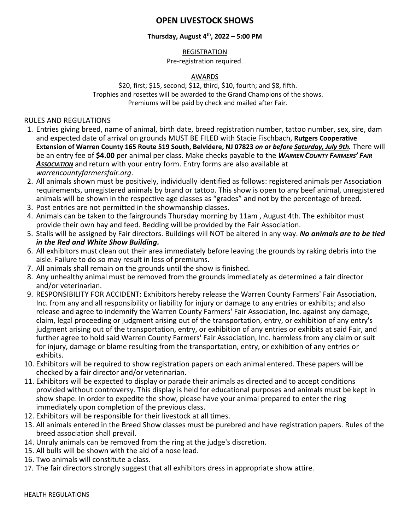# **OPEN LIVESTOCK SHOWS**

## **Thursday, August 4th , 2022 – 5:00 PM**

## **REGISTRATION**

### Pre-registration required.

### AWARDS

\$20, first; \$15, second; \$12, third, \$10, fourth; and \$8, fifth. Trophies and rosettes will be awarded to the Grand Champions of the shows. Premiums will be paid by check and mailed after Fair.

RULES AND REGULATIONS

- 1. Entries giving breed, name of animal, birth date, breed registration number, tattoo number, sex, sire, dam and expected date of arrival on grounds MUST BE FILED with Stacie Fischbach, **Rutgers Cooperative Extension of Warren County 165 Route 519 South, Belvidere, NJ 07823** *on or before Saturday, July 9th.* There will be an entry fee of **\$4.00** per animal per class. Make checks payable to the *WARREN COUNTY FARMERS' FAIR ASSOCIATION* and return with your entry form. Entry forms are also available at *warrencountyfarmersfair.org*.
- 2. All animals shown must be positively, individually identified as follows: registered animals per Association requirements, unregistered animals by brand or tattoo. This show is open to any beef animal, unregistered animals will be shown in the respective age classes as "grades" and not by the percentage of breed.
- 3. Post entries are not permitted in the showmanship classes.
- 4. Animals can be taken to the fairgrounds Thursday morning by 11am , August 4th. The exhibitor must provide their own hay and feed. Bedding will be provided by the Fair Association.
- 5. Stalls will be assigned by Fair directors. Buildings will NOT be altered in any way. *No animals are to be tied in the Red and White Show Building.*
- 6. All exhibitors must clean out their area immediately before leaving the grounds by raking debris into the aisle. Failure to do so may result in loss of premiums.
- 7. All animals shall remain on the grounds until the show is finished.
- 8. Any unhealthy animal must be removed from the grounds immediately as determined a fair director and/or veterinarian.
- 9. RESPONSIBILITY FOR ACCIDENT: Exhibitors hereby release the Warren County Farmers' Fair Association, Inc. from any and all responsibility or liability for injury or damage to any entries or exhibits; and also release and agree to indemnify the Warren County Farmers' Fair Association, Inc. against any damage, claim, legal proceeding or judgment arising out of the transportation, entry, or exhibition of any entry's judgment arising out of the transportation, entry, or exhibition of any entries or exhibits at said Fair, and further agree to hold said Warren County Farmers' Fair Association, Inc. harmless from any claim or suit for injury, damage or blame resulting from the transportation, entry, or exhibition of any entries or exhibits.
- 10. Exhibitors will be required to show registration papers on each animal entered. These papers will be checked by a fair director and/or veterinarian.
- 11. Exhibitors will be expected to display or parade their animals as directed and to accept conditions provided without controversy. This display is held for educational purposes and animals must be kept in show shape. In order to expedite the show, please have your animal prepared to enter the ring immediately upon completion of the previous class.
- 12. Exhibitors will be responsible for their livestock at all times.
- 13. All animals entered in the Breed Show classes must be purebred and have registration papers. Rules of the breed association shall prevail.
- 14. Unruly animals can be removed from the ring at the judge's discretion.
- 15. All bulls will be shown with the aid of a nose lead.
- 16. Two animals will constitute a class.
- 17. The fair directors strongly suggest that all exhibitors dress in appropriate show attire.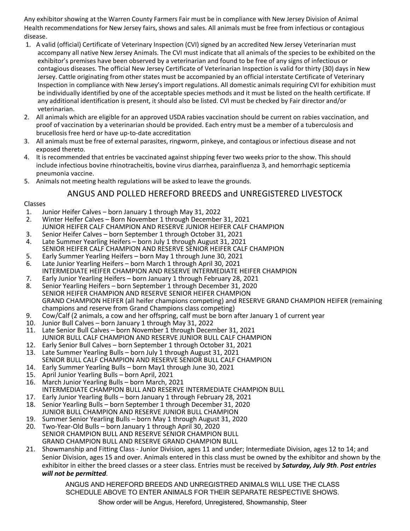Any exhibitor showing at the Warren County Farmers Fair must be in compliance with New Jersey Division of Animal Health recommendations for New Jersey fairs, shows and sales. All animals must be free from infectious or contagious disease.

- 1. A valid (official) Certificate of Veterinary Inspection (CVI) signed by an accredited New Jersey Veterinarian must accompany all native New Jersey Animals. The CVI must indicate that all animals of the species to be exhibited on the exhibitor's premises have been observed by a veterinarian and found to be free of any signs of infectious or contagious diseases. The official New Jersey Certificate of Veterinarian Inspection is valid for thirty (30) days in New Jersey. Cattle originating from other states must be accompanied by an official interstate Certificate of Veterinary Inspection in compliance with New Jersey's import regulations. All domestic animals requiring CVI for exhibition must be individually identified by one of the acceptable species methods and it must be listed on the health certificate. If any additional identification is present, it should also be listed. CVI must be checked by Fair director and/or veterinarian.
- 2. All animals which are eligible for an approved USDA rabies vaccination should be current on rabies vaccination, and proof of vaccination by a veterinarian should be provided. Each entry must be a member of a tuberculosis and brucellosis free herd or have up-to-date accreditation
- 3. All animals must be free of external parasites, ringworm, pinkeye, and contagious or infectious disease and not exposed thereto.
- 4. It is recommended that entries be vaccinated against shipping fever two weeks prior to the show. This should include infectious bovine rhinotracheitis, bovine virus diarrhea, parainfluenza 3, and hemorrhagic septicemia pneumonia vaccine.
- 5. Animals not meeting health regulations will be asked to leave the grounds.

# ANGUS AND POLLED HEREFORD BREEDS and UNREGISTERED LIVESTOCK

### Classes

- 1. Junior Heifer Calves born January 1 through May 31, 2022
- 2. Winter Heifer Calves Born November 1 through December 31, 2021 JUNIOR HEIFER CALF CHAMPION AND RESERVE JUNIOR HEIFER CALF CHAMPION
- 3. Senior Heifer Calves born September 1 through October 31, 2021
- 4. Late Summer Yearling Heifers born July 1 through August 31, 2021 SENIOR HEIFER CALF CHAMPION AND RESERVE SENIOR HEIFER CALF CHAMPION
- 5. Early Summer Yearling Heifers born May 1 through June 30, 2021
- 6. Late Junior Yearling Heifers born March 1 through April 30, 2021 INTERMEDIATE HEIFER CHAMPION AND RESERVE INTERMEDIATE HEIFER CHAMPION
- 7. Early Junior Yearling Heifers born January 1 through February 28, 2021
- 8. Senior Yearling Heifers born September 1 through December 31, 2020 SENIOR HEIFER CHAMPION AND RESERVE SENIOR HEIFER CHAMPION GRAND CHAMPION HEIFER (all heifer champions competing) and RESERVE GRAND CHAMPION HEIFER (remaining champions and reserve from Grand Champions class competing)
- 9. Cow/Calf (2 animals, a cow and her offspring, calf must be born after January 1 of current year
- 10. Junior Bull Calves born January 1 through May 31, 2022
- 11. Late Senior Bull Calves born November 1 through December 31, 2021 JUNIOR BULL CALF CHAMPION AND RESERVE JUNIOR BULL CALF CHAMPION
- 12. Early Senior Bull Calves born September 1 through October 31, 2021
- 13. Late Summer Yearling Bulls born July 1 through August 31, 2021 SENIOR BULL CALF CHAMPION AND RESERVE SENIOR BULL CALF CHAMPION
- 14. Early Summer Yearling Bulls born May1 through June 30, 2021
- 
- 15. April Junior Yearling Bulls born April, 2021 16. March Junior Yearling Bulls – born March, 2021 INTERMEDIATE CHAMPION BULL AND RESERVE INTERMEDIATE CHAMPION BULL
- 17. Early Junior Yearling Bulls born January 1 through February 28, 2021
- 18. Senior Yearling Bulls born September 1 through December 31, 2020 JUNIOR BULL CHAMPION AND RESERVE JUNIOR BULL CHAMPION
- 19. Summer Senior Yearling Bulls born May 1 through August 31, 2020
- 20. Two-Year-Old Bulls born January 1 through April 30, 2020 SENIOR CHAMPION BULL AND RESERVE SENIOR CHAMPION BULL GRAND CHAMPION BULL AND RESERVE GRAND CHAMPION BULL
- 21. Showmanship and Fitting Class Junior Division, ages 11 and under; Intermediate Division, ages 12 to 14; and Senior Division, ages 15 and over. Animals entered in this class must be owned by the exhibitor and shown by the exhibitor in either the breed classes or a steer class. Entries must be received by *Saturday, July 9th*. *Post entries will not be permitted*.

ANGUS AND HEREFORD BREEDS AND UNREGISTRED ANIMALS WILL USE THE CLASS SCHEDULE ABOVE TO ENTER ANIMALS FOR THEIR SEPARATE RESPECTIVE SHOWS.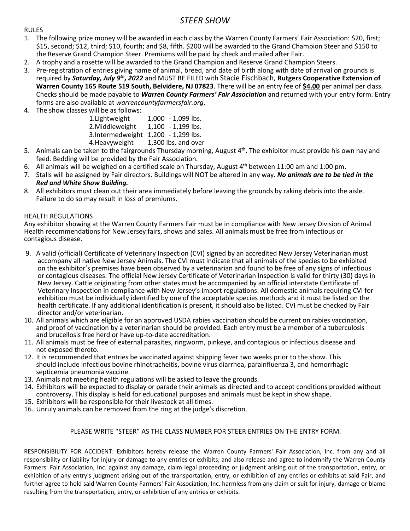# *STEER SHOW*

#### RULES

- 1. The following prize money will be awarded in each class by the Warren County Farmers' Fair Association: \$20, first; \$15, second; \$12, third; \$10, fourth; and \$8, fifth. \$200 will be awarded to the Grand Champion Steer and \$150 to the Reserve Grand Champion Steer. Premiums will be paid by check and mailed after Fair.
- 2. A trophy and a rosette will be awarded to the Grand Champion and Reserve Grand Champion Steers.
- 3. Pre-registration of entries giving name of animal, breed, and date of birth along with date of arrival on grounds is required by *Saturday, July 9th, 2022* and MUST BE FILED with Stacie Fischbach, **Rutgers Cooperative Extension of Warren County 165 Route 519 South, Belvidere, NJ 07823**. There will be an entry fee of **\$4.00** per animal per class. Checks should be made payable to *Warren County Farmers' Fair Association* and returned with your entry form. Entry forms are also available at *warrencountyfarmersfair.org*.
- 4. The show classes will be as follows:

| 1. Lightweight   | 1,000 - 1,099 lbs.   |
|------------------|----------------------|
| 2. Middleweight  | 1,100 - 1,199 lbs.   |
| 3.Intermedweight | $1,200 - 1,299$ lbs. |
| 4. Heavyweight   | 1,300 lbs. and over  |

- 5. Animals can be taken to the fairgrounds Thursday morning, August 4<sup>th</sup>. The exhibitor must provide his own hay and feed. Bedding will be provided by the Fair Association.
- 6. All animals will be weighed on a certified scale on Thursday, August  $4<sup>th</sup>$  between 11:00 am and 1:00 pm.
- 7. Stalls will be assigned by Fair directors. Buildings will NOT be altered in any way. *No animals are to be tied in the Red and White Show Building.*
- 8. All exhibitors must clean out their area immediately before leaving the grounds by raking debris into the aisle. Failure to do so may result in loss of premiums.

### HEALTH REGULATIONS

Any exhibitor showing at the Warren County Farmers Fair must be in compliance with New Jersey Division of Animal Health recommendations for New Jersey fairs, shows and sales. All animals must be free from infectious or contagious disease.

- 9. A valid (official) Certificate of Veterinary Inspection (CVI) signed by an accredited New Jersey Veterinarian must accompany all native New Jersey Animals. The CVI must indicate that all animals of the species to be exhibited on the exhibitor's premises have been observed by a veterinarian and found to be free of any signs of infectious or contagious diseases. The official New Jersey Certificate of Veterinarian Inspection is valid for thirty (30) days in New Jersey. Cattle originating from other states must be accompanied by an official interstate Certificate of Veterinary Inspection in compliance with New Jersey's import regulations. All domestic animals requiring CVI for exhibition must be individually identified by one of the acceptable species methods and it must be listed on the health certificate. If any additional identification is present, it should also be listed. CVI must be checked by Fair director and/or veterinarian.
- 10. All animals which are eligible for an approved USDA rabies vaccination should be current on rabies vaccination, and proof of vaccination by a veterinarian should be provided. Each entry must be a member of a tuberculosis and brucellosis free herd or have up-to-date accreditation.
- 11. All animals must be free of external parasites, ringworm, pinkeye, and contagious or infectious disease and not exposed thereto.
- 12. It is recommended that entries be vaccinated against shipping fever two weeks prior to the show. This should include infectious bovine rhinotracheitis, bovine virus diarrhea, parainfluenza 3, and hemorrhagic septicemia pneumonia vaccine.
- 13. Animals not meeting health regulations will be asked to leave the grounds.
- 14. Exhibitors will be expected to display or parade their animals as directed and to accept conditions provided without controversy. This display is held for educational purposes and animals must be kept in show shape.
- 15. Exhibitors will be responsible for their livestock at all times.
- 16. Unruly animals can be removed from the ring at the judge's discretion.

## PLEASE WRITE "STEER" AS THE CLASS NUMBER FOR STEER ENTRIES ON THE ENTRY FORM.

RESPONSIBILITY FOR ACCIDENT: Exhibitors hereby release the Warren County Farmers' Fair Association, Inc. from any and all responsibility or liability for injury or damage to any entries or exhibits; and also release and agree to indemnify the Warren County Farmers' Fair Association, Inc. against any damage, claim legal proceeding or judgment arising out of the transportation, entry, or exhibition of any entry's judgment arising out of the transportation, entry, or exhibition of any entries or exhibits at said Fair, and further agree to hold said Warren County Farmers' Fair Association, Inc. harmless from any claim or suit for injury, damage or blame resulting from the transportation, entry, or exhibition of any entries or exhibits.